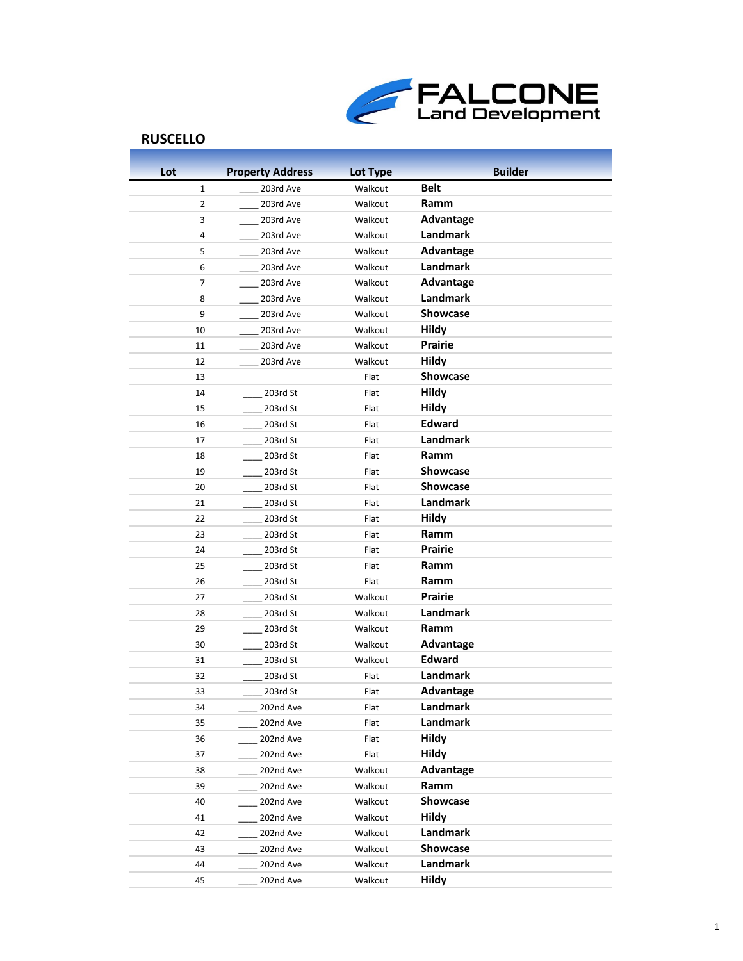

| Lot            | <b>Property Address</b> | Lot Type           | <b>Builder</b>    |
|----------------|-------------------------|--------------------|-------------------|
| $\mathbf{1}$   | 203rd Ave               | Walkout            | <b>Belt</b>       |
| 2              | 203rd Ave               | Walkout            | Ramm              |
| 3              | 203rd Ave               | Walkout            | <b>Advantage</b>  |
| 4              | 203rd Ave               | Walkout            | Landmark          |
| 5              | 203rd Ave               | Walkout            | Advantage         |
| 6              | 203rd Ave               | Walkout            | <b>Landmark</b>   |
| $\overline{7}$ | 203rd Ave               | Walkout            | <b>Advantage</b>  |
| 8              | 203rd Ave               | Walkout            | Landmark          |
| 9              | 203rd Ave               | Walkout            | Showcase          |
| 10             | 203rd Ave               | Walkout            | <b>Hildy</b>      |
| 11             | 203rd Ave               | Walkout            | <b>Prairie</b>    |
| 12             | 203rd Ave               | Walkout            | <b>Hildy</b>      |
| 13             |                         | Flat               | <b>Showcase</b>   |
| 14             | 203rd St                | Flat               | <b>Hildy</b>      |
| 15             | 203rd St                | Flat               | <b>Hildy</b>      |
| 16             | 203rd St                | Flat               | <b>Edward</b>     |
| 17             | 203rd St                | Flat               | <b>Landmark</b>   |
| 18             | 203rd St                | Flat               | Ramm              |
| 19             | 203rd St                | Flat               | <b>Showcase</b>   |
| 20             | 203rd St                | Flat               | Showcase          |
| 21             | 203rd St                | Flat               | Landmark          |
| 22             | 203rd St                | Flat               | <b>Hildy</b>      |
| 23             | 203rd St                | Flat               | Ramm              |
| 24             | 203rd St                | Flat               | Prairie           |
| 25             | 203rd St                | Flat               | Ramm              |
| 26             | 203rd St                | Flat               | Ramm              |
| 27             | 203rd St                | Walkout            | Prairie           |
| 28             | 203rd St                | Walkout            | Landmark          |
| 29             | 203rd St                | Walkout            | Ramm              |
| 30             | 203rd St                | Walkout            | <b>Advantage</b>  |
| 31             | 203rd St                | Walkout            | <b>Edward</b>     |
| 32             | 203rd St                | Flat               | <b>Landmark</b>   |
| 33             | 203rd St                | Flat               | Advantage         |
| 34             | 202nd Ave               | Flat               | Landmark          |
| 35             | 202nd Ave               | Flat               | Landmark          |
| 36             | 202nd Ave               | Flat               | Hildy             |
| 37             | 202nd Ave               | Flat               | Hildy             |
| 38             | 202nd Ave               | Walkout            | <b>Advantage</b>  |
| 39             | 202nd Ave               | Walkout            | Ramm              |
| 40             | 202nd Ave               | Walkout            | Showcase          |
| 41             | 202nd Ave               | Walkout            | Hildy<br>Landmark |
| 42             | 202nd Ave               | Walkout<br>Walkout | Showcase          |
| 43             | 202nd Ave               |                    | Landmark          |
| 44             | 202nd Ave               | Walkout            |                   |
| 45             | 202nd Ave               | Walkout            | <b>Hildy</b>      |